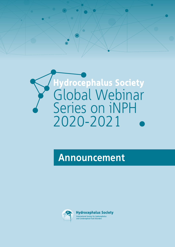



# **Announcement**

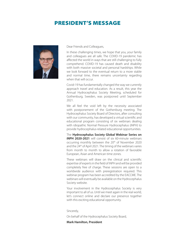### PRESIDENT'S MESSAGE



Dear Friends and Colleagues,

In these challenging times, we hope that you, your family and colleagues are all safe. The COVID-19 pandemic has affected the world in ways that are still challenging to fully comprehend. COVID-19 has caused death and disability with both massive societal and personal hardships. While we look forward to the eventual return to a more stable and normal time, there remains uncertainty regarding when that will occur.

Covid-19 has fundamentally changed the way we currently approach travel and education. As a result, this year the Annual Hydrocephalus Society Meeting, scheduled for Gothenburg, Sweden, was postponed until September 2021.

We all feel the void left by the necessity associated with postponement of the Gothenburg meeting. The Hydrocephalus Society Board of Directors, after consulting with our community, has developed a virtual scientific and educational program consisting of six webinars dealing with idiopathic Normal Pressure Hydrocephalus (iNPH) to provide hydrocephalus-related educational opportunities.

The **Hydrocephalus Society Global Webinar Series on iNPH 2020-2021** will consist of six 60-minute webinars occurring monthly between the 20th of November 2020 and the 24<sup>th</sup> of April 2021. The timing of the webinars varies from month to month to allow a rotation of favorable European, Asian and American time zones.

These webinars will draw on the clinical and scientific expertise of experts in the field of iNPH and will be provided completely free of charge. These sessions are open to a worldwide audience with preregistration required. This webinar program has been accredited by the EACCME. The webinars will eventually be available on the Hydrocephalus Society website.

Your involvement in the Hydrocephalus Society is very important to all of us. Until we meet again in the real world, let's connect online and declare our presence together with this exciting educational opportunity.

Sincerely,

On behalf of the Hydrocephalus Society Board,

#### **Mark Hamilton, President**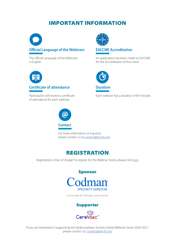### IMPORTANT INFORMATION



The official Language of the Webinars is English.



#### **Certificate of attendance**

Participants will receive a certificate of attendance for each webinar.



**EACCME Accreditation**

An application has been made to EACCME for the Accreditation of this event.



Each webinar has a duration of 60 minutes.



For more information or inquiries, please contact us at [contact@ishcsf.com](mailto:contact@ishcsf.com)



Registration is free of charge! To register for the Webinar Series, please click [here](https://www.ishcsf.com/global-webinar-series-2020-2021/)



A DIVISION OF INTEGRA LIFESCIENCES





If you are interested in supporting the Hydrocephalus Society Global Webinar Series 2020-2021, please contact us: [contact@ishcsf.com](mailto:contact@ishcsf.com)